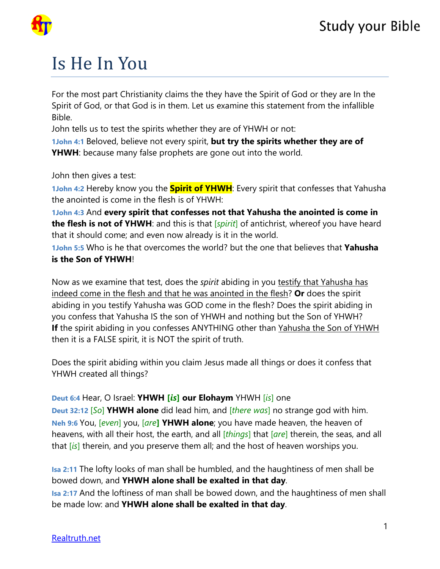

## Is He In You

For the most part Christianity claims the they have the Spirit of God or they are In the Spirit of God, or that God is in them. Let us examine this statement from the infallible Bible.

John tells us to test the spirits whether they are of YHWH or not:

**1John 4:1** Beloved, believe not every spirit, **but try the spirits whether they are of YHWH**: because many false prophets are gone out into the world.

John then gives a test:

**1John 4:2** Hereby know you the **Spirit of YHWH**: Every spirit that confesses that Yahusha the anointed is come in the flesh is of YHWH:

**1John 4:3** And **every spirit that confesses not that Yahusha the anointed is come in the flesh is not of YHWH**: and this is that [*spirit*] of antichrist, whereof you have heard that it should come; and even now already is it in the world.

**1John 5:5** Who is he that overcomes the world? but the one that believes that **Yahusha is the Son of YHWH**!

Now as we examine that test, does the *spirit* abiding in you testify that Yahusha has indeed come in the flesh and that he was anointed in the flesh? **Or** does the spirit abiding in you testify Yahusha was GOD come in the flesh? Does the spirit abiding in you confess that Yahusha IS the son of YHWH and nothing but the Son of YHWH? **If** the spirit abiding in you confesses ANYTHING other than Yahusha the Son of YHWH then it is a FALSE spirit, it is NOT the spirit of truth.

Does the spirit abiding within you claim Jesus made all things or does it confess that YHWH created all things?

## **Deut 6:4** Hear, O Israel: **YHWH [***is***] our Elohaym** YHWH [*is*] one

**Deut 32:12** [*So*] **YHWH alone** did lead him, and [*there was*] no strange god with him. **Neh 9:6** You, [*even*] you, [*are***] YHWH alone**; you have made heaven, the heaven of heavens, with all their host, the earth, and all [*things*] that [*are*] therein, the seas, and all that [*is*] therein, and you preserve them all; and the host of heaven worships you.

**Isa 2:11** The lofty looks of man shall be humbled, and the haughtiness of men shall be bowed down, and **YHWH alone shall be exalted in that day**.

**Isa 2:17** And the loftiness of man shall be bowed down, and the haughtiness of men shall be made low: and **YHWH alone shall be exalted in that day**.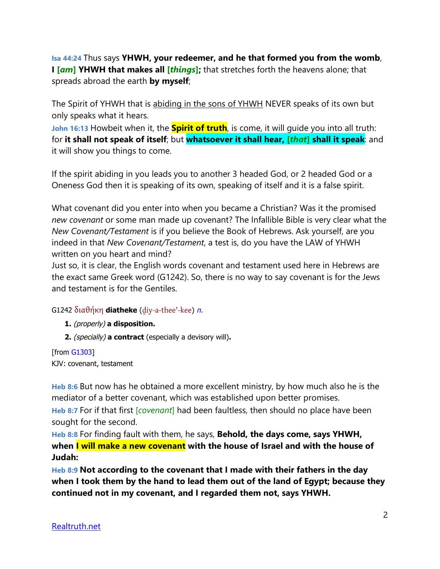**Isa 44:24** Thus says **YHWH, your redeemer, and he that formed you from the womb**, **I [***am***] YHWH that makes all [***things***];** that stretches forth the heavens alone; that spreads abroad the earth **by myself**;

The Spirit of YHWH that is abiding in the sons of YHWH NEVER speaks of its own but only speaks what it hears.

**John 16:13** Howbeit when it, the **Spirit of truth**, is come, it will quide you into all truth: for **it shall not speak of itself**; but **whatsoever it shall hear, [***that***] shall it speak**: and it will show you things to come.

If the spirit abiding in you leads you to another 3 headed God, or 2 headed God or a Oneness God then it is speaking of its own, speaking of itself and it is a false spirit.

What covenant did you enter into when you became a Christian? Was it the promised *new covenant* or some man made up covenant? The Infallible Bible is very clear what the *New Covenant/Testament* is if you believe the Book of Hebrews. Ask yourself, are you indeed in that *New Covenant/Testament*, a test is, do you have the LAW of YHWH written on you heart and mind?

Just so, it is clear, the English words covenant and testament used here in Hebrews are the exact same Greek word (G1242). So, there is no way to say covenant is for the Jews and testament is for the Gentiles.

## G1242 διαθήκη **diatheke** (d̮[iy-a-thee'-kee](tw://[self]?tid=14)) [n](tw://[self]?tid=1000000#N-).

- **1.** (properly) **a disposition.**
- **2.** (specially) **a contract** (especially a devisory will)**.**

[from [G1303\]](tw://[self]?G1303) KJV: covenant, testament

**Heb 8:6** But now has he obtained a more excellent ministry, by how much also he is the mediator of a better covenant, which was established upon better promises.

**Heb 8:7** For if that first [*covenant*] had been faultless, then should no place have been sought for the second.

**Heb 8:8** For finding fault with them, he says, **Behold, the days come, says YHWH, when I will make a new covenant with the house of Israel and with the house of Judah:**

**Heb 8:9 Not according to the covenant that I made with their fathers in the day when I took them by the hand to lead them out of the land of Egypt; because they continued not in my covenant, and I regarded them not, says YHWH.**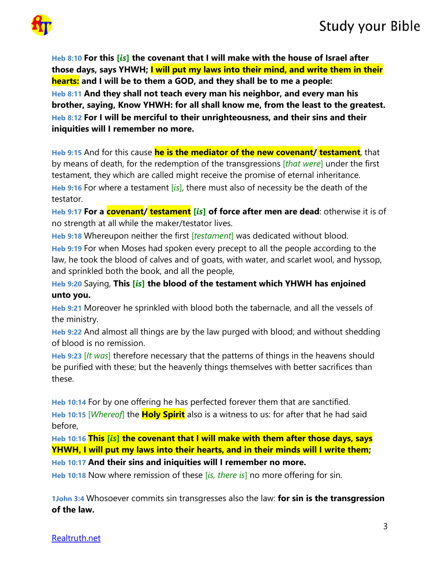

**Heb 8:10 For this [***is***] the covenant that I will make with the house of Israel after those days, says YHWH; I will put my laws into their mind, and write them in their hearts: and I will be to them a GOD, and they shall be to me a people: Heb 8:11 And they shall not teach every man his neighbor, and every man his brother, saying, Know YHWH: for all shall know me, from the least to the greatest. Heb 8:12 For I will be merciful to their unrighteousness, and their sins and their iniquities will I remember no more.**

**Heb 9:15** And for this cause **he is the mediator of the new covenant/ testament**, that by means of death, for the redemption of the transgressions [*that were*] under the first testament, they which are called might receive the promise of eternal inheritance. **Heb 9:16** For where a testament [*is*], there must also of necessity be the death of the testator.

**Heb 9:17 For a covenant/ testament [***is***] of force after men are dead**: otherwise it is of no strength at all while the maker/testator lives.

**Heb 9:18** Whereupon neither the first [*testament*] was dedicated without blood.

**Heb 9:19** For when Moses had spoken every precept to all the people according to the law, he took the blood of calves and of goats, with water, and scarlet wool, and hyssop, and sprinkled both the book, and all the people,

**Heb 9:20** Saying, **This [***is***] the blood of the testament which YHWH has enjoined unto you.**

**Heb 9:21** Moreover he sprinkled with blood both the tabernacle, and all the vessels of the ministry.

**Heb 9:22** And almost all things are by the law purged with blood; and without shedding of blood is no remission.

**Heb 9:23** [*It was*] therefore necessary that the patterns of things in the heavens should be purified with these; but the heavenly things themselves with better sacrifices than these.

**Heb 10:14** For by one offering he has perfected forever them that are sanctified. **Heb 10:15** [*Whereof*] the **Holy Spirit** also is a witness to us: for after that he had said before,

**Heb 10:16 This [***is***] the covenant that I will make with them after those days, says YHWH, I will put my laws into their hearts, and in their minds will I write them;**

**Heb 10:17 And their sins and iniquities will I remember no more.**

**Heb 10:18** Now where remission of these [*is, there is*] no more offering for sin.

**1John 3:4** Whosoever commits sin transgresses also the law: **for sin is the transgression of the law.**